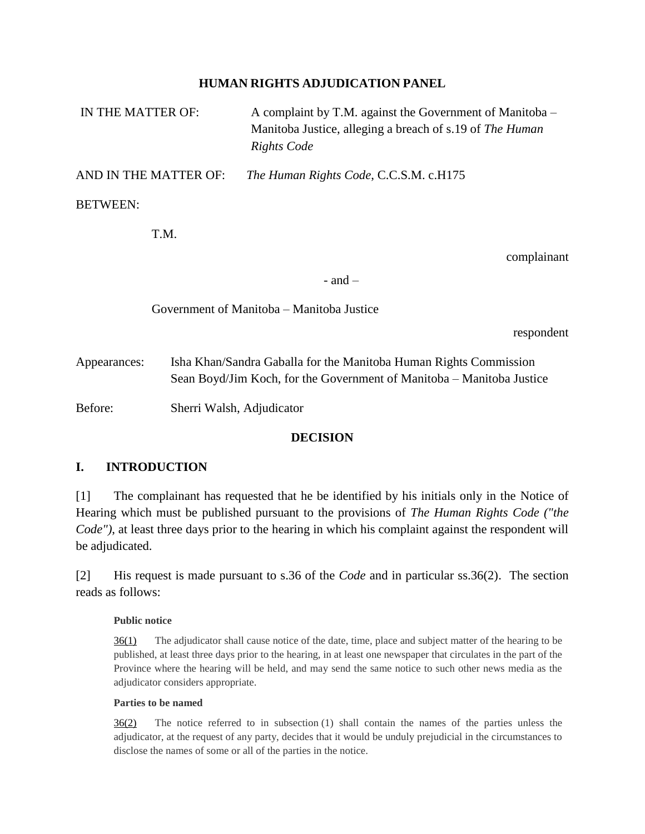### **HUMAN RIGHTS ADJUDICATION PANEL**

| IN THE MATTER OF:                         |                                                                                                                                            | A complaint by T.M. against the Government of Manitoba –<br>Manitoba Justice, alleging a breach of s.19 of The Human<br><b>Rights Code</b> |
|-------------------------------------------|--------------------------------------------------------------------------------------------------------------------------------------------|--------------------------------------------------------------------------------------------------------------------------------------------|
| AND IN THE MATTER OF:                     |                                                                                                                                            | The Human Rights Code, C.C.S.M. c.H175                                                                                                     |
| <b>BETWEEN:</b>                           |                                                                                                                                            |                                                                                                                                            |
|                                           | T.M.                                                                                                                                       |                                                                                                                                            |
|                                           |                                                                                                                                            | complainant                                                                                                                                |
|                                           |                                                                                                                                            | $-$ and $-$                                                                                                                                |
| Government of Manitoba – Manitoba Justice |                                                                                                                                            |                                                                                                                                            |
|                                           |                                                                                                                                            | respondent                                                                                                                                 |
| Appearances:                              | Isha Khan/Sandra Gaballa for the Manitoba Human Rights Commission<br>Sean Boyd/Jim Koch, for the Government of Manitoba – Manitoba Justice |                                                                                                                                            |

Before: Sherri Walsh, Adjudicator

### **DECISION**

### **I. INTRODUCTION**

[1] The complainant has requested that he be identified by his initials only in the Notice of Hearing which must be published pursuant to the provisions of *The Human Rights Code ("the Code"*), at least three days prior to the hearing in which his complaint against the respondent will be adjudicated.

[2] His request is made pursuant to s.36 of the *Code* and in particular ss.36(2). The section reads as follows:

### **Public notice**

[36\(1\)](https://web2.gov.mb.ca/laws/statutes/ccsm/h175f.php#36) The adjudicator shall cause notice of the date, time, place and subject matter of the hearing to be published, at least three days prior to the hearing, in at least one newspaper that circulates in the part of the Province where the hearing will be held, and may send the same notice to such other news media as the adjudicator considers appropriate.

### **Parties to be named**

[36\(2\)](https://web2.gov.mb.ca/laws/statutes/ccsm/h175f.php#36(2)) The notice referred to in subsection (1) shall contain the names of the parties unless the adjudicator, at the request of any party, decides that it would be unduly prejudicial in the circumstances to disclose the names of some or all of the parties in the notice.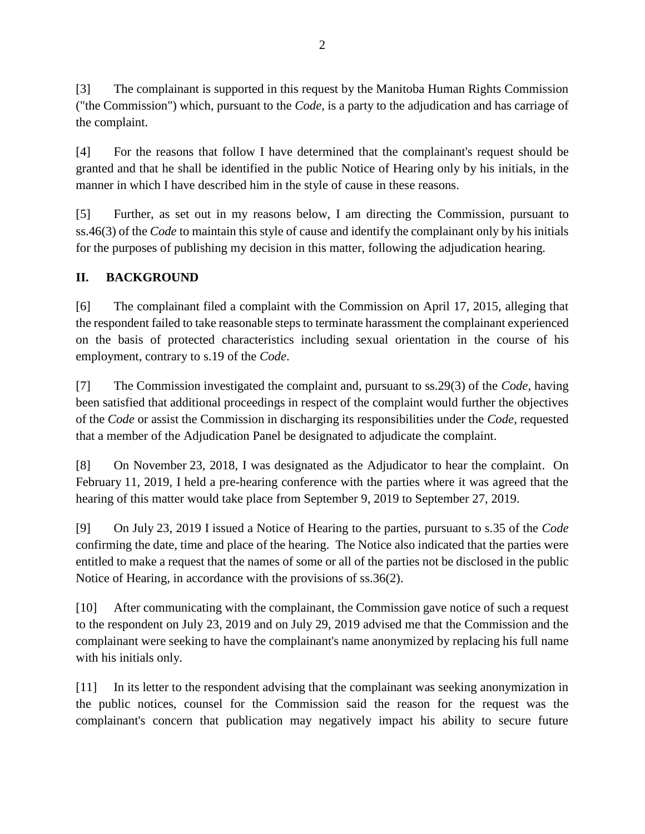[3] The complainant is supported in this request by the Manitoba Human Rights Commission ("the Commission") which, pursuant to the *Code*, is a party to the adjudication and has carriage of the complaint.

[4] For the reasons that follow I have determined that the complainant's request should be granted and that he shall be identified in the public Notice of Hearing only by his initials, in the manner in which I have described him in the style of cause in these reasons.

[5] Further, as set out in my reasons below, I am directing the Commission, pursuant to ss.46(3) of the *Code* to maintain this style of cause and identify the complainant only by his initials for the purposes of publishing my decision in this matter, following the adjudication hearing.

# **II. BACKGROUND**

[6] The complainant filed a complaint with the Commission on April 17, 2015, alleging that the respondent failed to take reasonable steps to terminate harassment the complainant experienced on the basis of protected characteristics including sexual orientation in the course of his employment, contrary to s.19 of the *Code*.

[7] The Commission investigated the complaint and, pursuant to ss.29(3) of the *Code*, having been satisfied that additional proceedings in respect of the complaint would further the objectives of the *Code* or assist the Commission in discharging its responsibilities under the *Code*, requested that a member of the Adjudication Panel be designated to adjudicate the complaint.

[8] On November 23, 2018, I was designated as the Adjudicator to hear the complaint. On February 11, 2019, I held a pre-hearing conference with the parties where it was agreed that the hearing of this matter would take place from September 9, 2019 to September 27, 2019.

[9] On July 23, 2019 I issued a Notice of Hearing to the parties, pursuant to s.35 of the *Code* confirming the date, time and place of the hearing. The Notice also indicated that the parties were entitled to make a request that the names of some or all of the parties not be disclosed in the public Notice of Hearing, in accordance with the provisions of ss.36(2).

[10] After communicating with the complainant, the Commission gave notice of such a request to the respondent on July 23, 2019 and on July 29, 2019 advised me that the Commission and the complainant were seeking to have the complainant's name anonymized by replacing his full name with his initials only.

[11] In its letter to the respondent advising that the complainant was seeking anonymization in the public notices, counsel for the Commission said the reason for the request was the complainant's concern that publication may negatively impact his ability to secure future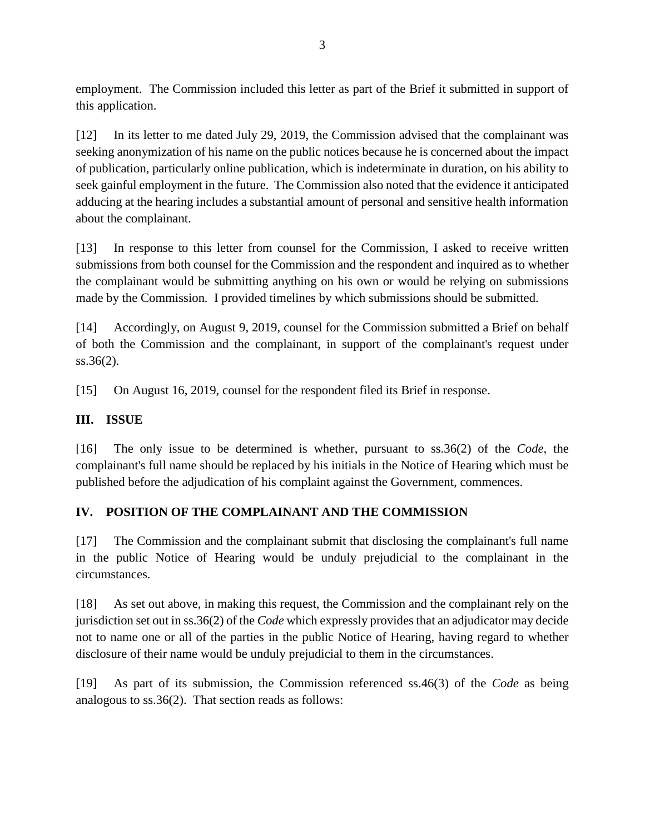employment. The Commission included this letter as part of the Brief it submitted in support of this application.

[12] In its letter to me dated July 29, 2019, the Commission advised that the complainant was seeking anonymization of his name on the public notices because he is concerned about the impact of publication, particularly online publication, which is indeterminate in duration, on his ability to seek gainful employment in the future. The Commission also noted that the evidence it anticipated adducing at the hearing includes a substantial amount of personal and sensitive health information about the complainant.

[13] In response to this letter from counsel for the Commission, I asked to receive written submissions from both counsel for the Commission and the respondent and inquired as to whether the complainant would be submitting anything on his own or would be relying on submissions made by the Commission. I provided timelines by which submissions should be submitted.

[14] Accordingly, on August 9, 2019, counsel for the Commission submitted a Brief on behalf of both the Commission and the complainant, in support of the complainant's request under ss.36(2).

[15] On August 16, 2019, counsel for the respondent filed its Brief in response.

### **III. ISSUE**

[16] The only issue to be determined is whether, pursuant to ss.36(2) of the *Code*, the complainant's full name should be replaced by his initials in the Notice of Hearing which must be published before the adjudication of his complaint against the Government, commences.

# **IV. POSITION OF THE COMPLAINANT AND THE COMMISSION**

[17] The Commission and the complainant submit that disclosing the complainant's full name in the public Notice of Hearing would be unduly prejudicial to the complainant in the circumstances.

[18] As set out above, in making this request, the Commission and the complainant rely on the jurisdiction set out in ss.36(2) of the *Code* which expressly provides that an adjudicator may decide not to name one or all of the parties in the public Notice of Hearing, having regard to whether disclosure of their name would be unduly prejudicial to them in the circumstances.

[19] As part of its submission, the Commission referenced ss.46(3) of the *Code* as being analogous to ss.36(2). That section reads as follows: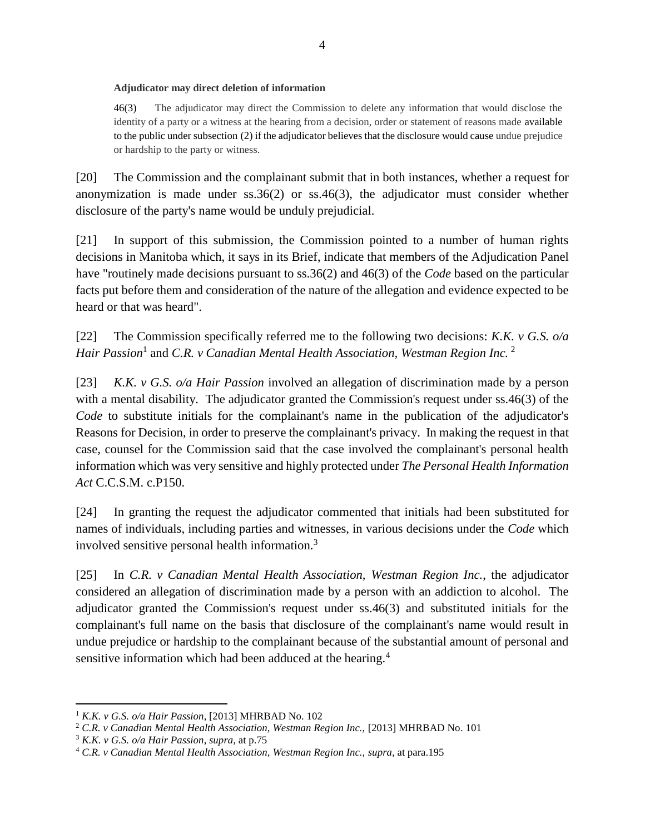#### **Adjudicator may direct deletion of information**

[46\(3\)](https://web2.gov.mb.ca/laws/statutes/ccsm/h175f.php#46(3)) The adjudicator may direct the Commission to delete any information that would disclose the identity of a party or a witness at the hearing from a decision, order or statement of reasons made available to the public under subsection (2) if the adjudicator believes that the disclosure would cause undue prejudice or hardship to the party or witness.

[20] The Commission and the complainant submit that in both instances, whether a request for anonymization is made under ss.36(2) or ss.46(3), the adjudicator must consider whether disclosure of the party's name would be unduly prejudicial.

[21] In support of this submission, the Commission pointed to a number of human rights decisions in Manitoba which, it says in its Brief, indicate that members of the Adjudication Panel have "routinely made decisions pursuant to ss.36(2) and 46(3) of the *Code* based on the particular facts put before them and consideration of the nature of the allegation and evidence expected to be heard or that was heard".

[22] The Commission specifically referred me to the following two decisions: *K.K. v G.S. o/a*  Hair Passion<sup>1</sup> and *C.R. v Canadian Mental Health Association, Westman Region Inc.* <sup>2</sup>

[23] *K.K. v G.S. o/a Hair Passion* involved an allegation of discrimination made by a person with a mental disability. The adjudicator granted the Commission's request under ss.46(3) of the *Code* to substitute initials for the complainant's name in the publication of the adjudicator's Reasons for Decision, in order to preserve the complainant's privacy. In making the request in that case, counsel for the Commission said that the case involved the complainant's personal health information which was very sensitive and highly protected under *The Personal Health Information Act* C.C.S.M. c.P150.

[24] In granting the request the adjudicator commented that initials had been substituted for names of individuals, including parties and witnesses, in various decisions under the *Code* which involved sensitive personal health information.<sup>3</sup>

[25] In *C.R. v Canadian Mental Health Association, Westman Region Inc.*, the adjudicator considered an allegation of discrimination made by a person with an addiction to alcohol. The adjudicator granted the Commission's request under ss.46(3) and substituted initials for the complainant's full name on the basis that disclosure of the complainant's name would result in undue prejudice or hardship to the complainant because of the substantial amount of personal and sensitive information which had been adduced at the hearing.<sup>4</sup>

 $\overline{a}$ 

<sup>1</sup> *K.K. v G.S. o/a Hair Passion*, [2013] MHRBAD No. 102

<sup>&</sup>lt;sup>2</sup> C.R. v Canadian Mental Health Association, Westman Region Inc., [2013] MHRBAD No. 101

<sup>3</sup> *K.K. v G.S. o/a Hair Passion*, *supra,* at p.75

<sup>4</sup> *C.R. v Canadian Mental Health Association, Westman Region Inc., supra,* at para.195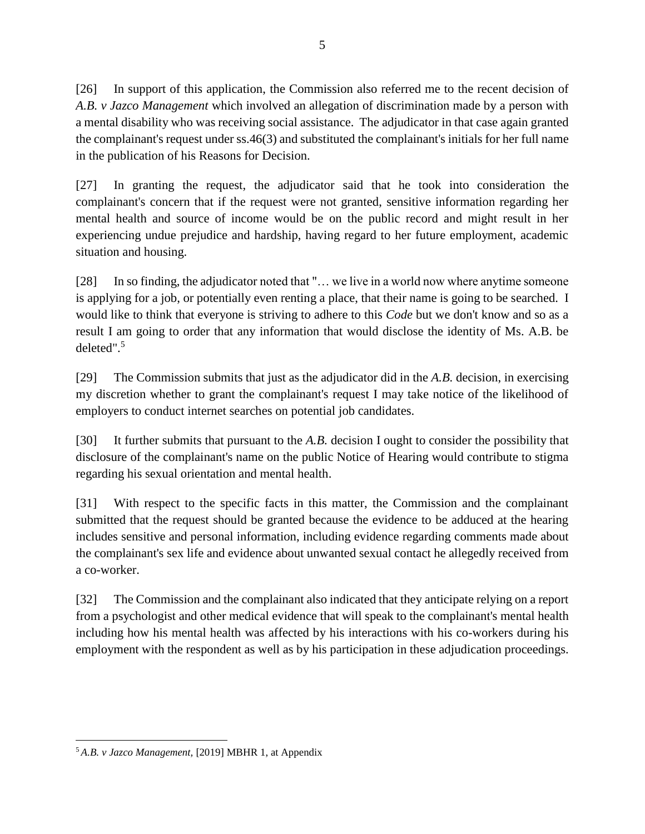[26] In support of this application, the Commission also referred me to the recent decision of *A.B. v Jazco Management* which involved an allegation of discrimination made by a person with a mental disability who was receiving social assistance. The adjudicator in that case again granted the complainant's request under ss.46(3) and substituted the complainant's initials for her full name in the publication of his Reasons for Decision.

[27] In granting the request, the adjudicator said that he took into consideration the complainant's concern that if the request were not granted, sensitive information regarding her mental health and source of income would be on the public record and might result in her experiencing undue prejudice and hardship, having regard to her future employment, academic situation and housing.

[28] In so finding, the adjudicator noted that "… we live in a world now where anytime someone is applying for a job, or potentially even renting a place, that their name is going to be searched. I would like to think that everyone is striving to adhere to this *Code* but we don't know and so as a result I am going to order that any information that would disclose the identity of Ms. A.B. be deleted".<sup>5</sup>

[29] The Commission submits that just as the adjudicator did in the *A.B.* decision, in exercising my discretion whether to grant the complainant's request I may take notice of the likelihood of employers to conduct internet searches on potential job candidates.

[30] It further submits that pursuant to the *A.B.* decision I ought to consider the possibility that disclosure of the complainant's name on the public Notice of Hearing would contribute to stigma regarding his sexual orientation and mental health.

[31] With respect to the specific facts in this matter, the Commission and the complainant submitted that the request should be granted because the evidence to be adduced at the hearing includes sensitive and personal information, including evidence regarding comments made about the complainant's sex life and evidence about unwanted sexual contact he allegedly received from a co-worker.

[32] The Commission and the complainant also indicated that they anticipate relying on a report from a psychologist and other medical evidence that will speak to the complainant's mental health including how his mental health was affected by his interactions with his co-workers during his employment with the respondent as well as by his participation in these adjudication proceedings.

 $\overline{a}$ <sup>5</sup> *A.B. v Jazco Management,* [2019] MBHR 1, at Appendix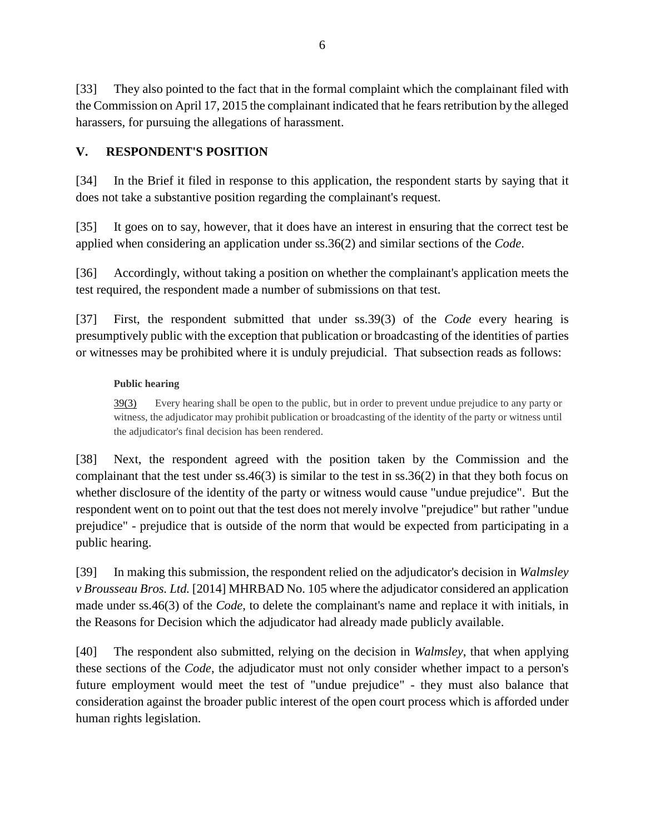[33] They also pointed to the fact that in the formal complaint which the complainant filed with the Commission on April 17, 2015 the complainant indicated that he fears retribution by the alleged harassers, for pursuing the allegations of harassment.

### **V. RESPONDENT'S POSITION**

[34] In the Brief it filed in response to this application, the respondent starts by saying that it does not take a substantive position regarding the complainant's request.

[35] It goes on to say, however, that it does have an interest in ensuring that the correct test be applied when considering an application under ss.36(2) and similar sections of the *Code*.

[36] Accordingly, without taking a position on whether the complainant's application meets the test required, the respondent made a number of submissions on that test.

[37] First, the respondent submitted that under ss.39(3) of the *Code* every hearing is presumptively public with the exception that publication or broadcasting of the identities of parties or witnesses may be prohibited where it is unduly prejudicial. That subsection reads as follows:

### **Public hearing**

[39\(3\)](https://web2.gov.mb.ca/laws/statutes/ccsm/h175f.php#39(3)) Every hearing shall be open to the public, but in order to prevent undue prejudice to any party or witness, the adjudicator may prohibit publication or broadcasting of the identity of the party or witness until the adjudicator's final decision has been rendered.

[38] Next, the respondent agreed with the position taken by the Commission and the complainant that the test under ss.46(3) is similar to the test in ss.36(2) in that they both focus on whether disclosure of the identity of the party or witness would cause "undue prejudice". But the respondent went on to point out that the test does not merely involve "prejudice" but rather "undue prejudice" - prejudice that is outside of the norm that would be expected from participating in a public hearing.

[39] In making this submission, the respondent relied on the adjudicator's decision in *Walmsley v Brousseau Bros. Ltd.* [2014] MHRBAD No. 105 where the adjudicator considered an application made under ss.46(3) of the *Code*, to delete the complainant's name and replace it with initials, in the Reasons for Decision which the adjudicator had already made publicly available.

[40] The respondent also submitted, relying on the decision in *Walmsley*, that when applying these sections of the *Code*, the adjudicator must not only consider whether impact to a person's future employment would meet the test of "undue prejudice" - they must also balance that consideration against the broader public interest of the open court process which is afforded under human rights legislation.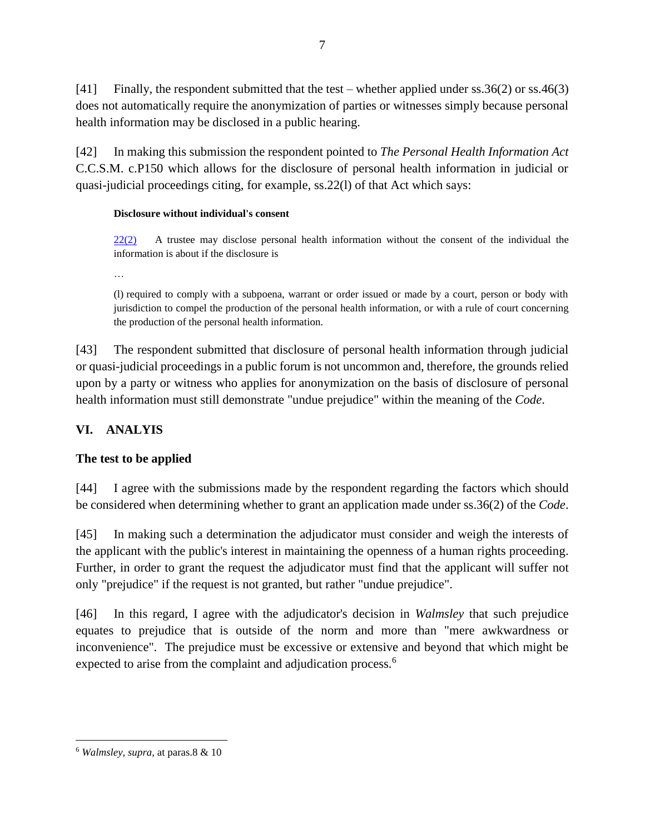[41] Finally, the respondent submitted that the test – whether applied under ss.36(2) or ss.46(3) does not automatically require the anonymization of parties or witnesses simply because personal health information may be disclosed in a public hearing.

[42] In making this submission the respondent pointed to *The Personal Health Information Act*  C.C.S.M. c.P150 which allows for the disclosure of personal health information in judicial or quasi-judicial proceedings citing, for example, ss.22(l) of that Act which says:

### **Disclosure without individual's consent**

[22\(2\)](https://web2.gov.mb.ca/laws/statutes/ccsm/p033-5f.php#22(2)) A trustee may disclose personal health information without the consent of the individual the information is about if the disclosure is

…

(l) required to comply with a subpoena, warrant or order issued or made by a court, person or body with jurisdiction to compel the production of the personal health information, or with a rule of court concerning the production of the personal health information.

[43] The respondent submitted that disclosure of personal health information through judicial or quasi-judicial proceedings in a public forum is not uncommon and, therefore, the grounds relied upon by a party or witness who applies for anonymization on the basis of disclosure of personal health information must still demonstrate "undue prejudice" within the meaning of the *Code*.

# **VI. ANALYIS**

# **The test to be applied**

[44] I agree with the submissions made by the respondent regarding the factors which should be considered when determining whether to grant an application made under ss.36(2) of the *Code*.

[45] In making such a determination the adjudicator must consider and weigh the interests of the applicant with the public's interest in maintaining the openness of a human rights proceeding. Further, in order to grant the request the adjudicator must find that the applicant will suffer not only "prejudice" if the request is not granted, but rather "undue prejudice".

[46] In this regard, I agree with the adjudicator's decision in *Walmsley* that such prejudice equates to prejudice that is outside of the norm and more than "mere awkwardness or inconvenience". The prejudice must be excessive or extensive and beyond that which might be expected to arise from the complaint and adjudication process.<sup>6</sup>

 $\overline{a}$ <sup>6</sup> *Walmsley, supra,* at paras.8 & 10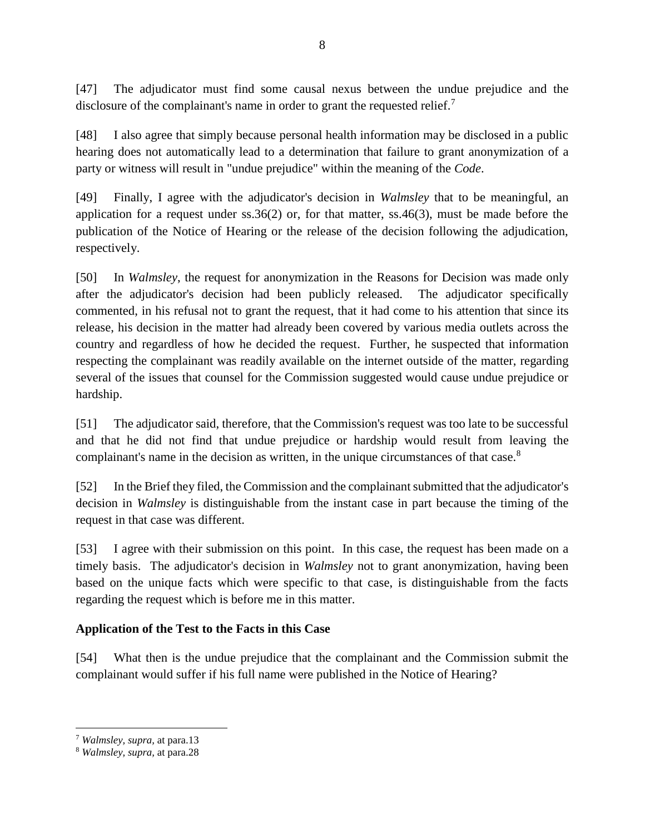[47] The adjudicator must find some causal nexus between the undue prejudice and the disclosure of the complainant's name in order to grant the requested relief.<sup>7</sup>

[48] I also agree that simply because personal health information may be disclosed in a public hearing does not automatically lead to a determination that failure to grant anonymization of a party or witness will result in "undue prejudice" within the meaning of the *Code*.

[49] Finally, I agree with the adjudicator's decision in *Walmsley* that to be meaningful, an application for a request under  $ss.36(2)$  or, for that matter,  $ss.46(3)$ , must be made before the publication of the Notice of Hearing or the release of the decision following the adjudication, respectively.

[50] In *Walmsley*, the request for anonymization in the Reasons for Decision was made only after the adjudicator's decision had been publicly released. The adjudicator specifically commented, in his refusal not to grant the request, that it had come to his attention that since its release, his decision in the matter had already been covered by various media outlets across the country and regardless of how he decided the request. Further, he suspected that information respecting the complainant was readily available on the internet outside of the matter, regarding several of the issues that counsel for the Commission suggested would cause undue prejudice or hardship.

[51] The adjudicator said, therefore, that the Commission's request was too late to be successful and that he did not find that undue prejudice or hardship would result from leaving the complainant's name in the decision as written, in the unique circumstances of that case.<sup>8</sup>

[52] In the Brief they filed, the Commission and the complainant submitted that the adjudicator's decision in *Walmsley* is distinguishable from the instant case in part because the timing of the request in that case was different.

[53] I agree with their submission on this point. In this case, the request has been made on a timely basis. The adjudicator's decision in *Walmsley* not to grant anonymization, having been based on the unique facts which were specific to that case, is distinguishable from the facts regarding the request which is before me in this matter.

### **Application of the Test to the Facts in this Case**

[54] What then is the undue prejudice that the complainant and the Commission submit the complainant would suffer if his full name were published in the Notice of Hearing?

 $\overline{a}$ 

<sup>7</sup> *Walmsley, supra,* at para.13

<sup>8</sup> *Walmsley, supra,* at para.28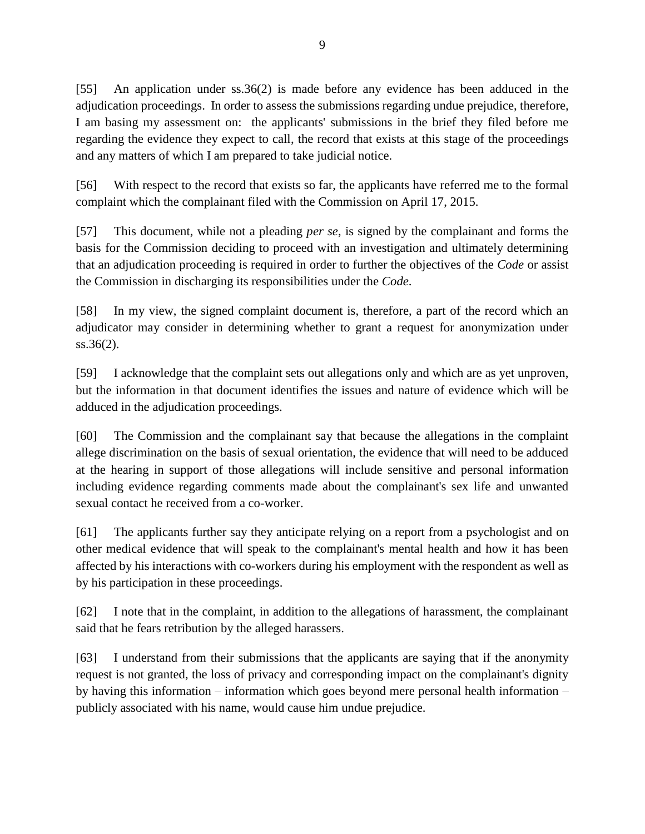[55] An application under ss.36(2) is made before any evidence has been adduced in the adjudication proceedings. In order to assess the submissions regarding undue prejudice, therefore, I am basing my assessment on: the applicants' submissions in the brief they filed before me regarding the evidence they expect to call, the record that exists at this stage of the proceedings and any matters of which I am prepared to take judicial notice.

[56] With respect to the record that exists so far, the applicants have referred me to the formal complaint which the complainant filed with the Commission on April 17, 2015.

[57] This document, while not a pleading *per se*, is signed by the complainant and forms the basis for the Commission deciding to proceed with an investigation and ultimately determining that an adjudication proceeding is required in order to further the objectives of the *Code* or assist the Commission in discharging its responsibilities under the *Code*.

[58] In my view, the signed complaint document is, therefore, a part of the record which an adjudicator may consider in determining whether to grant a request for anonymization under ss.36(2).

[59] I acknowledge that the complaint sets out allegations only and which are as yet unproven, but the information in that document identifies the issues and nature of evidence which will be adduced in the adjudication proceedings.

[60] The Commission and the complainant say that because the allegations in the complaint allege discrimination on the basis of sexual orientation, the evidence that will need to be adduced at the hearing in support of those allegations will include sensitive and personal information including evidence regarding comments made about the complainant's sex life and unwanted sexual contact he received from a co-worker.

[61] The applicants further say they anticipate relying on a report from a psychologist and on other medical evidence that will speak to the complainant's mental health and how it has been affected by his interactions with co-workers during his employment with the respondent as well as by his participation in these proceedings.

[62] I note that in the complaint, in addition to the allegations of harassment, the complainant said that he fears retribution by the alleged harassers.

[63] I understand from their submissions that the applicants are saying that if the anonymity request is not granted, the loss of privacy and corresponding impact on the complainant's dignity by having this information – information which goes beyond mere personal health information – publicly associated with his name, would cause him undue prejudice.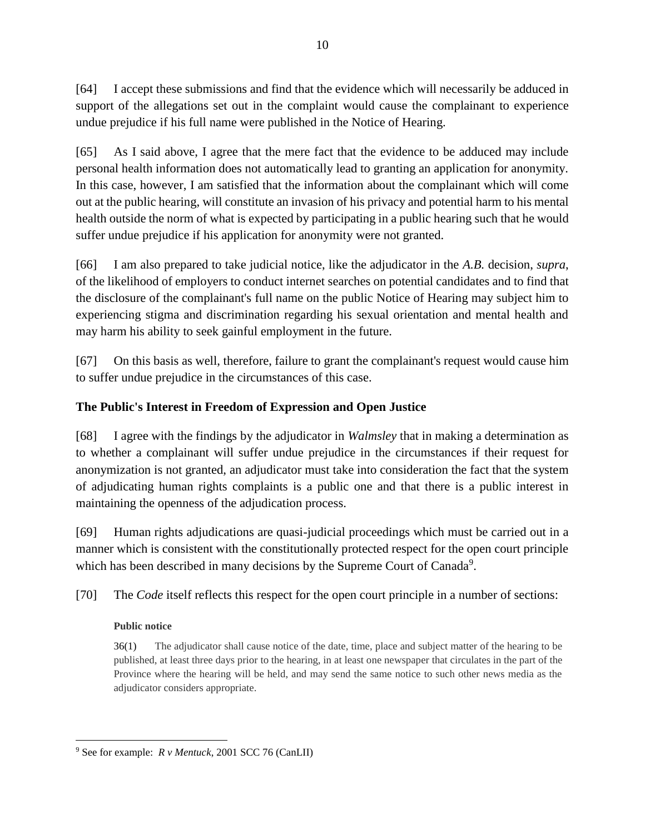[64] I accept these submissions and find that the evidence which will necessarily be adduced in support of the allegations set out in the complaint would cause the complainant to experience undue prejudice if his full name were published in the Notice of Hearing.

[65] As I said above, I agree that the mere fact that the evidence to be adduced may include personal health information does not automatically lead to granting an application for anonymity. In this case, however, I am satisfied that the information about the complainant which will come out at the public hearing, will constitute an invasion of his privacy and potential harm to his mental health outside the norm of what is expected by participating in a public hearing such that he would suffer undue prejudice if his application for anonymity were not granted.

[66] I am also prepared to take judicial notice, like the adjudicator in the *A.B.* decision, *supra*, of the likelihood of employers to conduct internet searches on potential candidates and to find that the disclosure of the complainant's full name on the public Notice of Hearing may subject him to experiencing stigma and discrimination regarding his sexual orientation and mental health and may harm his ability to seek gainful employment in the future.

[67] On this basis as well, therefore, failure to grant the complainant's request would cause him to suffer undue prejudice in the circumstances of this case.

### **The Public's Interest in Freedom of Expression and Open Justice**

[68] I agree with the findings by the adjudicator in *Walmsley* that in making a determination as to whether a complainant will suffer undue prejudice in the circumstances if their request for anonymization is not granted, an adjudicator must take into consideration the fact that the system of adjudicating human rights complaints is a public one and that there is a public interest in maintaining the openness of the adjudication process.

[69] Human rights adjudications are quasi-judicial proceedings which must be carried out in a manner which is consistent with the constitutionally protected respect for the open court principle which has been described in many decisions by the Supreme Court of Canada<sup>9</sup>.

[70] The *Code* itself reflects this respect for the open court principle in a number of sections:

### **Public notice**

 $\overline{a}$ 

[36\(1\)](https://web2.gov.mb.ca/laws/statutes/ccsm/h175f.php#36) The adjudicator shall cause notice of the date, time, place and subject matter of the hearing to be published, at least three days prior to the hearing, in at least one newspaper that circulates in the part of the Province where the hearing will be held, and may send the same notice to such other news media as the adjudicator considers appropriate.

<sup>9</sup> See for example: *R v Mentuck*, 2001 SCC 76 (CanLII)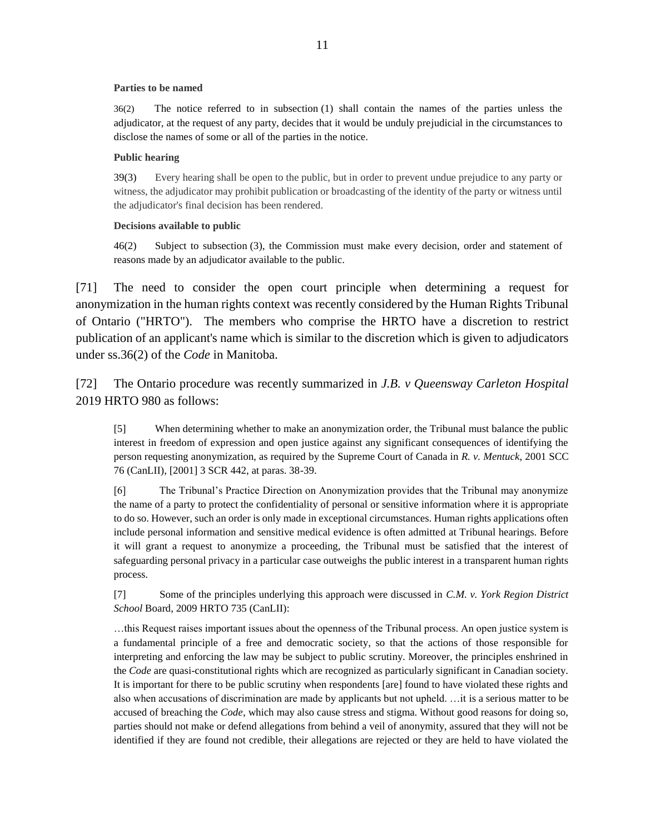#### **Parties to be named**

[36\(2\)](https://web2.gov.mb.ca/laws/statutes/ccsm/h175f.php#36(2)) The notice referred to in subsection (1) shall contain the names of the parties unless the adjudicator, at the request of any party, decides that it would be unduly prejudicial in the circumstances to disclose the names of some or all of the parties in the notice.

#### **Public hearing**

[39\(3\)](https://web2.gov.mb.ca/laws/statutes/ccsm/h175f.php#39(3)) Every hearing shall be open to the public, but in order to prevent undue prejudice to any party or witness, the adjudicator may prohibit publication or broadcasting of the identity of the party or witness until the adjudicator's final decision has been rendered.

#### **Decisions available to public**

[46\(2\)](https://web2.gov.mb.ca/laws/statutes/ccsm/h175f.php#46(2)) Subject to subsection (3), the Commission must make every decision, order and statement of reasons made by an adjudicator available to the public.

[71] The need to consider the open court principle when determining a request for anonymization in the human rights context was recently considered by the Human Rights Tribunal of Ontario ("HRTO"). The members who comprise the HRTO have a discretion to restrict publication of an applicant's name which is similar to the discretion which is given to adjudicators under ss.36(2) of the *Code* in Manitoba.

[72] The Ontario procedure was recently summarized in *J.B. v Queensway Carleton Hospital*  2019 HRTO 980 as follows:

[5] When determining whether to make an anonymization order, the Tribunal must balance the public interest in freedom of expression and open justice against any significant consequences of identifying the person requesting anonymization, as required by the Supreme Court of Canada in *R. v. Mentuck*, 2001 SCC 76 (CanLII), [2001] 3 SCR 442, at paras. 38-39.

[6] The Tribunal's Practice Direction on Anonymization provides that the Tribunal may anonymize the name of a party to protect the confidentiality of personal or sensitive information where it is appropriate to do so. However, such an order is only made in exceptional circumstances. Human rights applications often include personal information and sensitive medical evidence is often admitted at Tribunal hearings. Before it will grant a request to anonymize a proceeding, the Tribunal must be satisfied that the interest of safeguarding personal privacy in a particular case outweighs the public interest in a transparent human rights process.

[7] Some of the principles underlying this approach were discussed in *C.M. v. York Region District School* Board, 2009 HRTO 735 (CanLII):

…this Request raises important issues about the openness of the Tribunal process. An open justice system is a fundamental principle of a free and democratic society, so that the actions of those responsible for interpreting and enforcing the law may be subject to public scrutiny. Moreover, the principles enshrined in the *Code* are quasi-constitutional rights which are recognized as particularly significant in Canadian society. It is important for there to be public scrutiny when respondents [are] found to have violated these rights and also when accusations of discrimination are made by applicants but not upheld. …it is a serious matter to be accused of breaching the *Code*, which may also cause stress and stigma. Without good reasons for doing so, parties should not make or defend allegations from behind a veil of anonymity, assured that they will not be identified if they are found not credible, their allegations are rejected or they are held to have violated the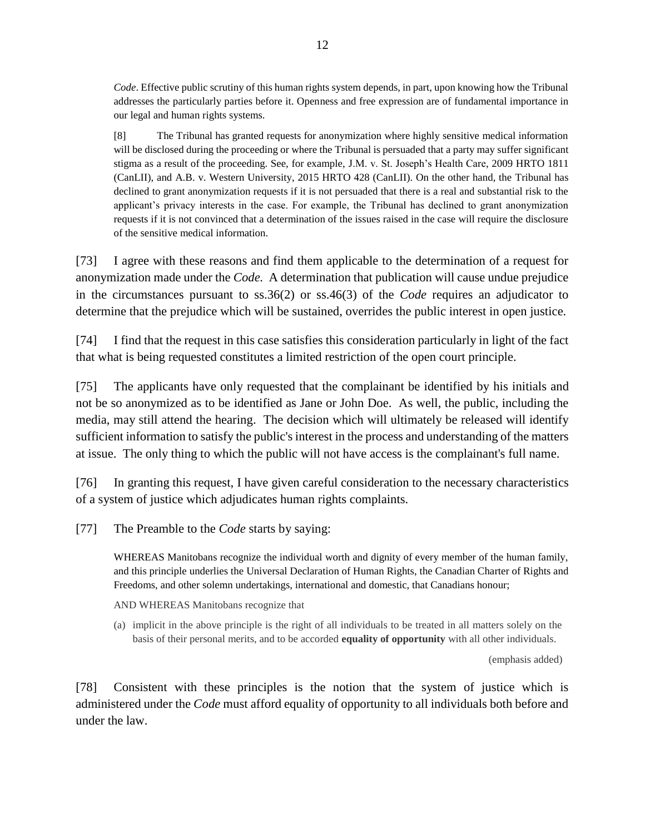*Code*. Effective public scrutiny of this human rights system depends, in part, upon knowing how the Tribunal addresses the particularly parties before it. Openness and free expression are of fundamental importance in our legal and human rights systems.

[8] The Tribunal has granted requests for anonymization where highly sensitive medical information will be disclosed during the proceeding or where the Tribunal is persuaded that a party may suffer significant stigma as a result of the proceeding. See, for example, J.M. v. St. Joseph's Health Care, 2009 HRTO 1811 (CanLII), and A.B. v. Western University, 2015 HRTO 428 (CanLII). On the other hand, the Tribunal has declined to grant anonymization requests if it is not persuaded that there is a real and substantial risk to the applicant's privacy interests in the case. For example, the Tribunal has declined to grant anonymization requests if it is not convinced that a determination of the issues raised in the case will require the disclosure of the sensitive medical information.

[73] I agree with these reasons and find them applicable to the determination of a request for anonymization made under the *Code.* A determination that publication will cause undue prejudice in the circumstances pursuant to ss.36(2) or ss.46(3) of the *Code* requires an adjudicator to determine that the prejudice which will be sustained, overrides the public interest in open justice.

[74] I find that the request in this case satisfies this consideration particularly in light of the fact that what is being requested constitutes a limited restriction of the open court principle.

[75] The applicants have only requested that the complainant be identified by his initials and not be so anonymized as to be identified as Jane or John Doe. As well, the public, including the media, may still attend the hearing. The decision which will ultimately be released will identify sufficient information to satisfy the public's interest in the process and understanding of the matters at issue. The only thing to which the public will not have access is the complainant's full name.

[76] In granting this request, I have given careful consideration to the necessary characteristics of a system of justice which adjudicates human rights complaints.

[77] The Preamble to the *Code* starts by saying:

WHEREAS Manitobans recognize the individual worth and dignity of every member of the human family, and this principle underlies the Universal Declaration of Human Rights, the Canadian Charter of Rights and Freedoms, and other solemn undertakings, international and domestic, that Canadians honour;

AND WHEREAS Manitobans recognize that

(a) implicit in the above principle is the right of all individuals to be treated in all matters solely on the basis of their personal merits, and to be accorded **equality of opportunity** with all other individuals.

(emphasis added)

[78] Consistent with these principles is the notion that the system of justice which is administered under the *Code* must afford equality of opportunity to all individuals both before and under the law.